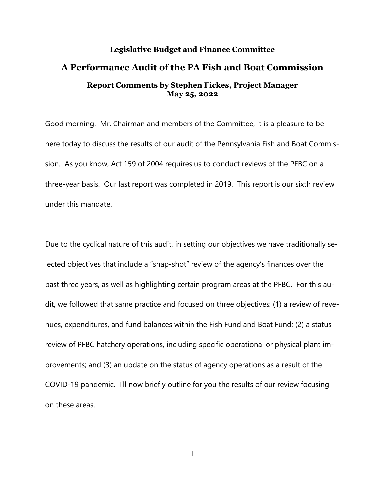## **Legislative Budget and Finance Committee A Performance Audit of the PA Fish and Boat Commission Report Comments by Stephen Fickes, Project Manager May 25, 2022**

Good morning. Mr. Chairman and members of the Committee, it is a pleasure to be here today to discuss the results of our audit of the Pennsylvania Fish and Boat Commission. As you know, Act 159 of 2004 requires us to conduct reviews of the PFBC on a three-year basis. Our last report was completed in 2019. This report is our sixth review under this mandate.

Due to the cyclical nature of this audit, in setting our objectives we have traditionally selected objectives that include a "snap-shot" review of the agency's finances over the past three years, as well as highlighting certain program areas at the PFBC. For this audit, we followed that same practice and focused on three objectives: (1) a review of revenues, expenditures, and fund balances within the Fish Fund and Boat Fund; (2) a status review of PFBC hatchery operations, including specific operational or physical plant improvements; and (3) an update on the status of agency operations as a result of the COVID-19 pandemic. I'll now briefly outline for you the results of our review focusing on these areas.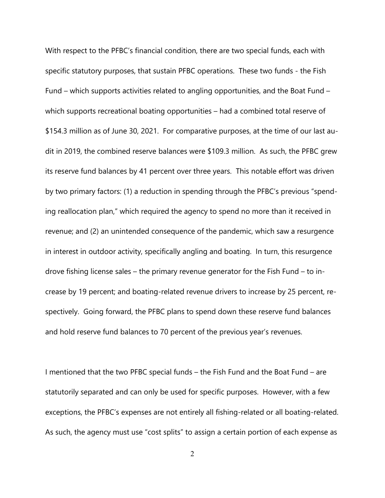With respect to the PFBC's financial condition, there are two special funds, each with specific statutory purposes, that sustain PFBC operations. These two funds - the Fish Fund – which supports activities related to angling opportunities, and the Boat Fund – which supports recreational boating opportunities – had a combined total reserve of \$154.3 million as of June 30, 2021. For comparative purposes, at the time of our last audit in 2019, the combined reserve balances were \$109.3 million. As such, the PFBC grew its reserve fund balances by 41 percent over three years. This notable effort was driven by two primary factors: (1) a reduction in spending through the PFBC's previous "spending reallocation plan," which required the agency to spend no more than it received in revenue; and (2) an unintended consequence of the pandemic, which saw a resurgence in interest in outdoor activity, specifically angling and boating. In turn, this resurgence drove fishing license sales – the primary revenue generator for the Fish Fund – to increase by 19 percent; and boating-related revenue drivers to increase by 25 percent, respectively. Going forward, the PFBC plans to spend down these reserve fund balances and hold reserve fund balances to 70 percent of the previous year's revenues.

I mentioned that the two PFBC special funds – the Fish Fund and the Boat Fund – are statutorily separated and can only be used for specific purposes. However, with a few exceptions, the PFBC's expenses are not entirely all fishing-related or all boating-related. As such, the agency must use "cost splits" to assign a certain portion of each expense as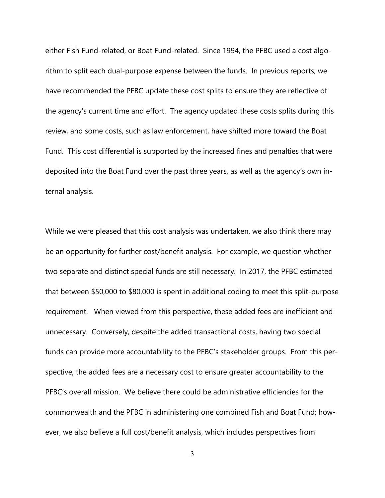either Fish Fund-related, or Boat Fund-related. Since 1994, the PFBC used a cost algorithm to split each dual-purpose expense between the funds. In previous reports, we have recommended the PFBC update these cost splits to ensure they are reflective of the agency's current time and effort. The agency updated these costs splits during this review, and some costs, such as law enforcement, have shifted more toward the Boat Fund. This cost differential is supported by the increased fines and penalties that were deposited into the Boat Fund over the past three years, as well as the agency's own internal analysis.

While we were pleased that this cost analysis was undertaken, we also think there may be an opportunity for further cost/benefit analysis. For example, we question whether two separate and distinct special funds are still necessary. In 2017, the PFBC estimated that between \$50,000 to \$80,000 is spent in additional coding to meet this split-purpose requirement. When viewed from this perspective, these added fees are inefficient and unnecessary. Conversely, despite the added transactional costs, having two special funds can provide more accountability to the PFBC's stakeholder groups. From this perspective, the added fees are a necessary cost to ensure greater accountability to the PFBC's overall mission. We believe there could be administrative efficiencies for the commonwealth and the PFBC in administering one combined Fish and Boat Fund; however, we also believe a full cost/benefit analysis, which includes perspectives from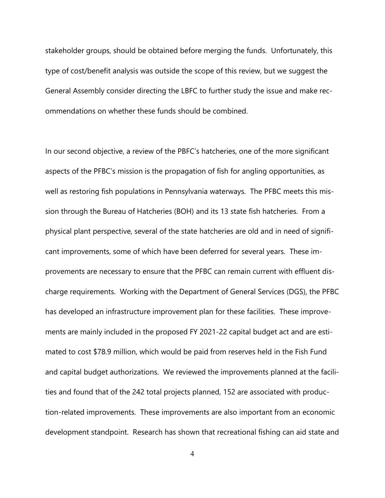stakeholder groups, should be obtained before merging the funds. Unfortunately, this type of cost/benefit analysis was outside the scope of this review, but we suggest the General Assembly consider directing the LBFC to further study the issue and make recommendations on whether these funds should be combined.

In our second objective, a review of the PBFC's hatcheries, one of the more significant aspects of the PFBC's mission is the propagation of fish for angling opportunities, as well as restoring fish populations in Pennsylvania waterways. The PFBC meets this mission through the Bureau of Hatcheries (BOH) and its 13 state fish hatcheries. From a physical plant perspective, several of the state hatcheries are old and in need of significant improvements, some of which have been deferred for several years. These improvements are necessary to ensure that the PFBC can remain current with effluent discharge requirements. Working with the Department of General Services (DGS), the PFBC has developed an infrastructure improvement plan for these facilities. These improvements are mainly included in the proposed FY 2021-22 capital budget act and are estimated to cost \$78.9 million, which would be paid from reserves held in the Fish Fund and capital budget authorizations. We reviewed the improvements planned at the facilities and found that of the 242 total projects planned, 152 are associated with production-related improvements. These improvements are also important from an economic development standpoint. Research has shown that recreational fishing can aid state and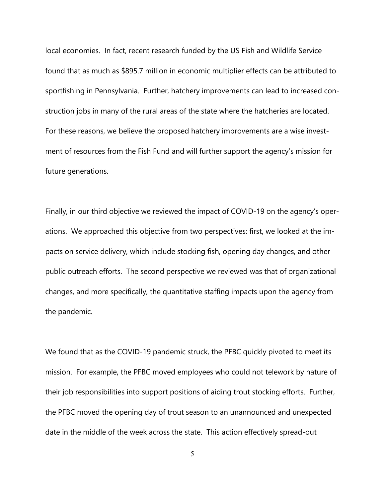local economies. In fact, recent research funded by the US Fish and Wildlife Service found that as much as \$895.7 million in economic multiplier effects can be attributed to sportfishing in Pennsylvania. Further, hatchery improvements can lead to increased construction jobs in many of the rural areas of the state where the hatcheries are located. For these reasons, we believe the proposed hatchery improvements are a wise investment of resources from the Fish Fund and will further support the agency's mission for future generations.

Finally, in our third objective we reviewed the impact of COVID-19 on the agency's operations. We approached this objective from two perspectives: first, we looked at the impacts on service delivery, which include stocking fish, opening day changes, and other public outreach efforts. The second perspective we reviewed was that of organizational changes, and more specifically, the quantitative staffing impacts upon the agency from the pandemic.

We found that as the COVID-19 pandemic struck, the PFBC quickly pivoted to meet its mission. For example, the PFBC moved employees who could not telework by nature of their job responsibilities into support positions of aiding trout stocking efforts. Further, the PFBC moved the opening day of trout season to an unannounced and unexpected date in the middle of the week across the state. This action effectively spread-out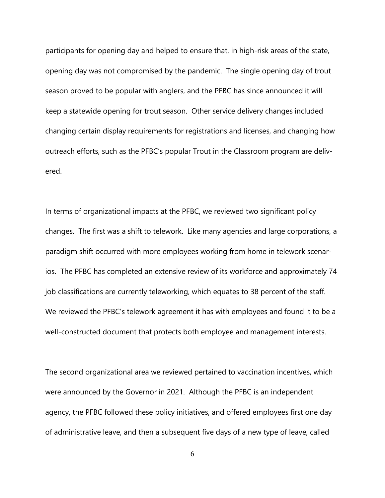participants for opening day and helped to ensure that, in high-risk areas of the state, opening day was not compromised by the pandemic. The single opening day of trout season proved to be popular with anglers, and the PFBC has since announced it will keep a statewide opening for trout season. Other service delivery changes included changing certain display requirements for registrations and licenses, and changing how outreach efforts, such as the PFBC's popular Trout in the Classroom program are delivered.

In terms of organizational impacts at the PFBC, we reviewed two significant policy changes. The first was a shift to telework. Like many agencies and large corporations, a paradigm shift occurred with more employees working from home in telework scenarios. The PFBC has completed an extensive review of its workforce and approximately 74 job classifications are currently teleworking, which equates to 38 percent of the staff. We reviewed the PFBC's telework agreement it has with employees and found it to be a well-constructed document that protects both employee and management interests.

The second organizational area we reviewed pertained to vaccination incentives, which were announced by the Governor in 2021. Although the PFBC is an independent agency, the PFBC followed these policy initiatives, and offered employees first one day of administrative leave, and then a subsequent five days of a new type of leave, called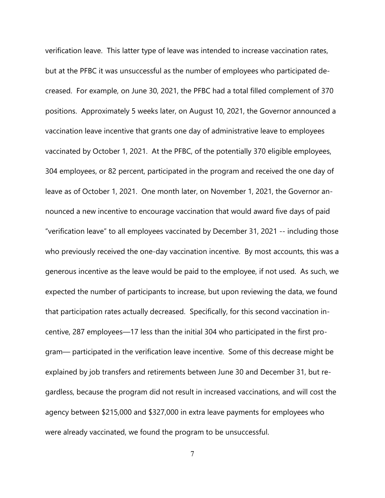verification leave. This latter type of leave was intended to increase vaccination rates, but at the PFBC it was unsuccessful as the number of employees who participated decreased. For example, on June 30, 2021, the PFBC had a total filled complement of 370 positions. Approximately 5 weeks later, on August 10, 2021, the Governor announced a vaccination leave incentive that grants one day of administrative leave to employees vaccinated by October 1, 2021. At the PFBC, of the potentially 370 eligible employees, 304 employees, or 82 percent, participated in the program and received the one day of leave as of October 1, 2021. One month later, on November 1, 2021, the Governor announced a new incentive to encourage vaccination that would award five days of paid "verification leave" to all employees vaccinated by December 31, 2021 -- including those who previously received the one-day vaccination incentive. By most accounts, this was a generous incentive as the leave would be paid to the employee, if not used. As such, we expected the number of participants to increase, but upon reviewing the data, we found that participation rates actually decreased. Specifically, for this second vaccination incentive, 287 employees—17 less than the initial 304 who participated in the first program— participated in the verification leave incentive. Some of this decrease might be explained by job transfers and retirements between June 30 and December 31, but regardless, because the program did not result in increased vaccinations, and will cost the agency between \$215,000 and \$327,000 in extra leave payments for employees who were already vaccinated, we found the program to be unsuccessful.

7